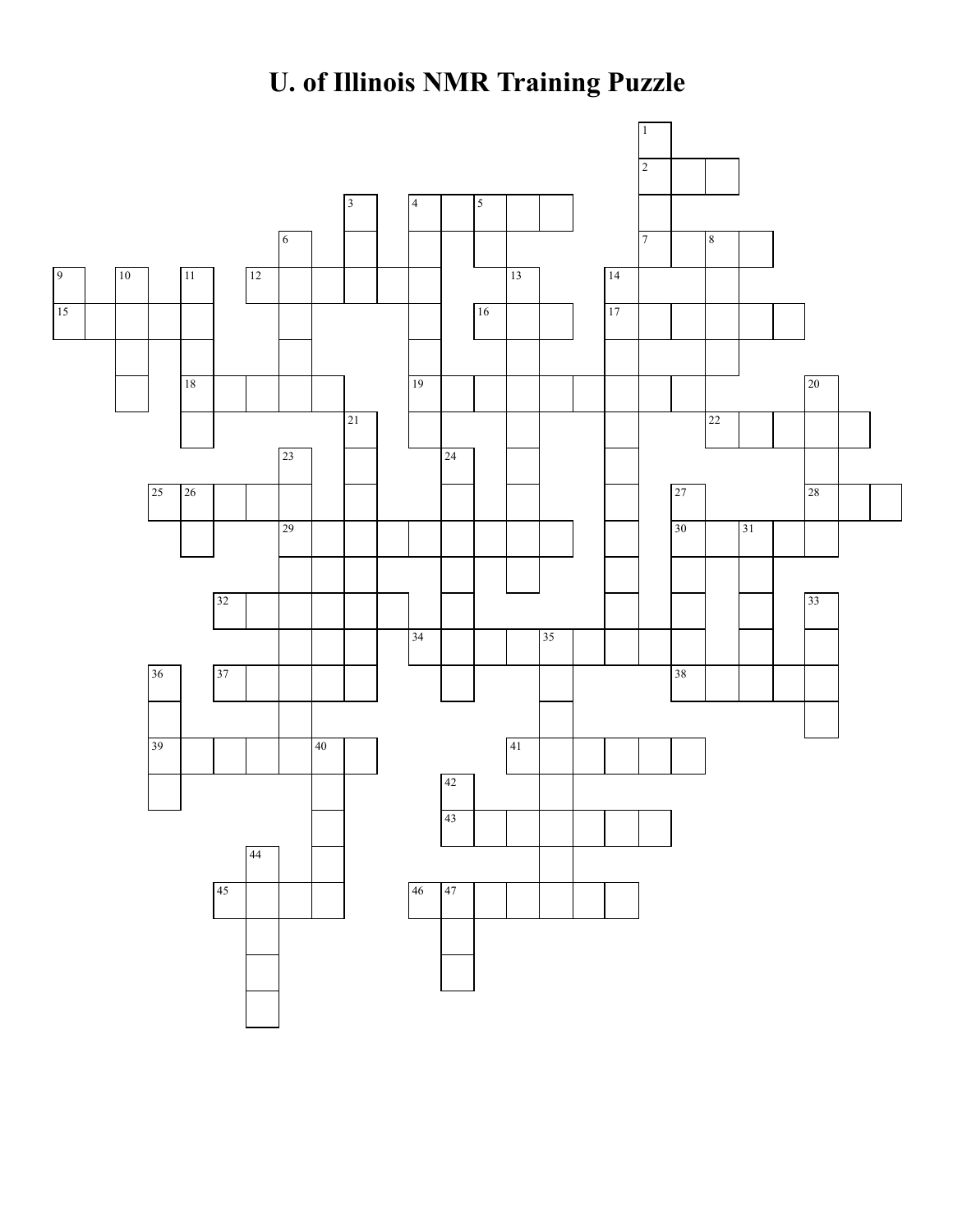## **U. of Illinois NMR Training Puzzle**